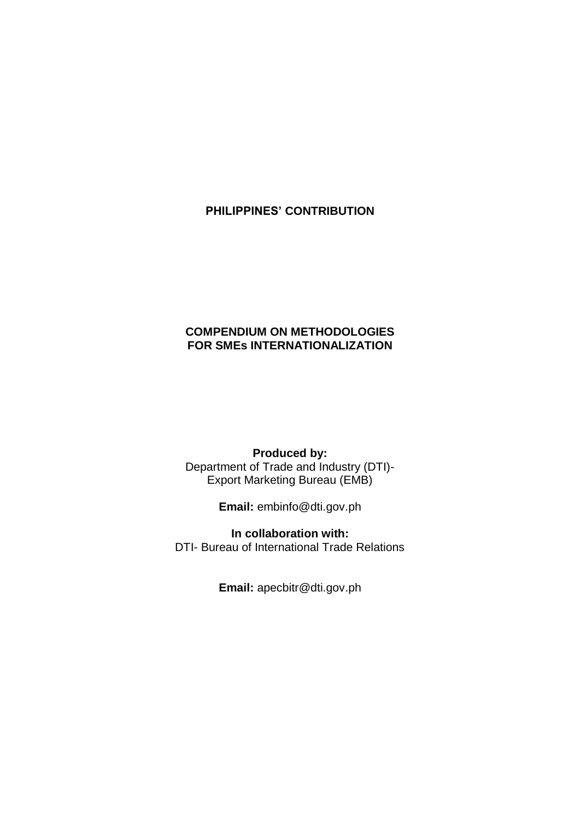# **PHILIPPINES' CONTRIBUTION**

# **COMPENDIUM ON METHODOLOGIES FOR SMEs INTERNATIONALIZATION**

### **Produced by:**

Department of Trade and Industry (DTI)- Export Marketing Bureau (EMB)

**Email:** embinfo@dti.gov.ph

**In collaboration with:** DTI- Bureau of International Trade Relations

**Email:** apecbitr@dti.gov.ph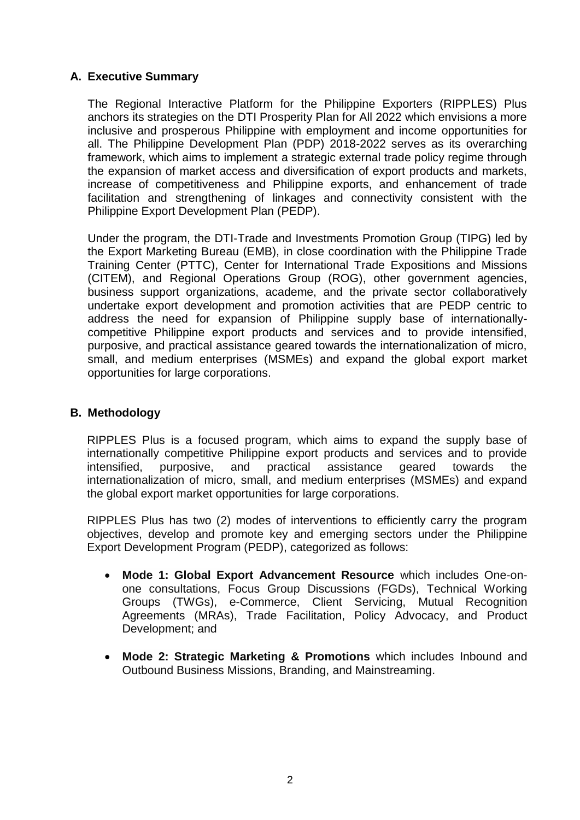# **A. Executive Summary**

The Regional Interactive Platform for the Philippine Exporters (RIPPLES) Plus anchors its strategies on the DTI Prosperity Plan for All 2022 which envisions a more inclusive and prosperous Philippine with employment and income opportunities for all. The Philippine Development Plan (PDP) 2018-2022 serves as its overarching framework, which aims to implement a strategic external trade policy regime through the expansion of market access and diversification of export products and markets, increase of competitiveness and Philippine exports, and enhancement of trade facilitation and strengthening of linkages and connectivity consistent with the Philippine Export Development Plan (PEDP).

Under the program, the DTI-Trade and Investments Promotion Group (TIPG) led by the Export Marketing Bureau (EMB), in close coordination with the Philippine Trade Training Center (PTTC), Center for International Trade Expositions and Missions (CITEM), and Regional Operations Group (ROG), other government agencies, business support organizations, academe, and the private sector collaboratively undertake export development and promotion activities that are PEDP centric to address the need for expansion of Philippine supply base of internationallycompetitive Philippine export products and services and to provide intensified, purposive, and practical assistance geared towards the internationalization of micro, small, and medium enterprises (MSMEs) and expand the global export market opportunities for large corporations.

#### **B. Methodology**

RIPPLES Plus is a focused program, which aims to expand the supply base of internationally competitive Philippine export products and services and to provide intensified, purposive, and practical assistance geared towards the internationalization of micro, small, and medium enterprises (MSMEs) and expand the global export market opportunities for large corporations.

RIPPLES Plus has two (2) modes of interventions to efficiently carry the program objectives, develop and promote key and emerging sectors under the Philippine Export Development Program (PEDP), categorized as follows:

- **Mode 1: Global Export Advancement Resource** which includes One-onone consultations, Focus Group Discussions (FGDs), Technical Working Groups (TWGs), e-Commerce, Client Servicing, Mutual Recognition Agreements (MRAs), Trade Facilitation, Policy Advocacy, and Product Development; and
- **Mode 2: Strategic Marketing & Promotions** which includes Inbound and Outbound Business Missions, Branding, and Mainstreaming.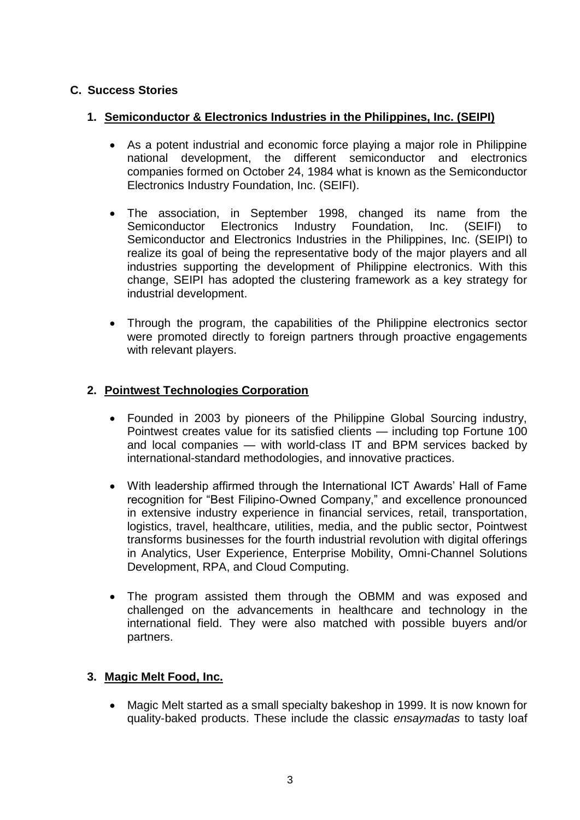# **C. Success Stories**

# **1. Semiconductor & Electronics Industries in the Philippines, Inc. (SEIPI)**

- As a potent industrial and economic force playing a major role in Philippine national development, the different semiconductor and electronics companies formed on October 24, 1984 what is known as the Semiconductor Electronics Industry Foundation, Inc. (SEIFI).
- The association, in September 1998, changed its name from the Semiconductor Electronics Industry Foundation, Inc. (SEIFI) to Semiconductor and Electronics Industries in the Philippines, Inc. (SEIPI) to realize its goal of being the representative body of the major players and all industries supporting the development of Philippine electronics. With this change, SEIPI has adopted the clustering framework as a key strategy for industrial development.
- Through the program, the capabilities of the Philippine electronics sector were promoted directly to foreign partners through proactive engagements with relevant players.

# **2. Pointwest Technologies Corporation**

- Founded in 2003 by pioneers of the Philippine Global Sourcing industry, Pointwest creates value for its satisfied clients — including top Fortune 100 and local companies — with world-class IT and BPM services backed by international-standard methodologies, and innovative practices.
- With leadership affirmed through the International ICT Awards' Hall of Fame recognition for "Best Filipino-Owned Company," and excellence pronounced in extensive industry experience in financial services, retail, transportation, logistics, travel, healthcare, utilities, media, and the public sector, Pointwest transforms businesses for the fourth industrial revolution with digital offerings in Analytics, User Experience, Enterprise Mobility, Omni-Channel Solutions Development, RPA, and Cloud Computing.
- The program assisted them through the OBMM and was exposed and challenged on the advancements in healthcare and technology in the international field. They were also matched with possible buyers and/or partners.

# **3. Magic Melt Food, Inc.**

 Magic Melt started as a small specialty bakeshop in 1999. It is now known for quality-baked products. These include the classic *ensaymadas* to tasty loaf